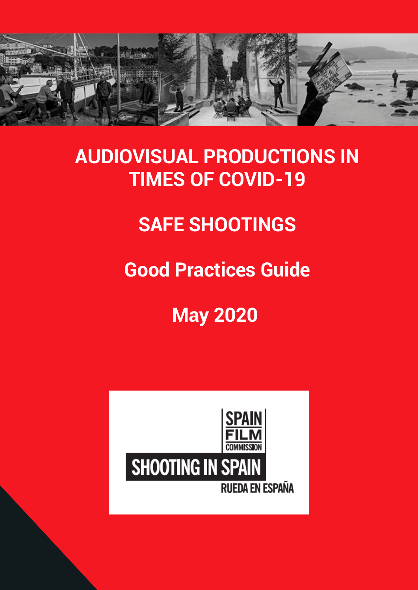

# **AUDIOVISUAL PRODUCTIONS IN TIMES OF COVID-19**

# **SAFE SHOOTINGS**

# **Good Practices Guide**

# **May 2020**

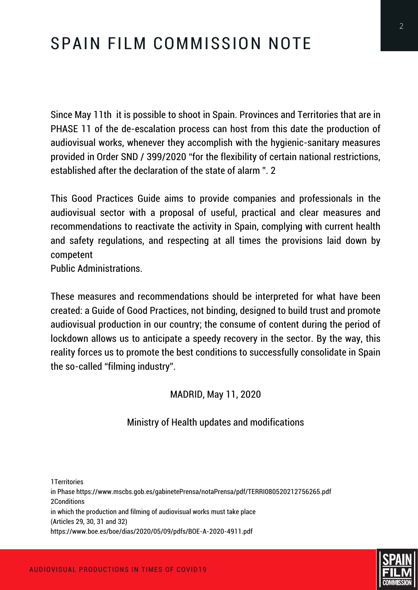# SPAIN FILM COMMISSION NOTE

Since May 11th it is possible to shoot in Spain. Provinces and Territories that are in PHASE 11 of the de-escalation process can host from this date the production of audiovisual works, whenever they accomplish with the hygienic-sanitary measures provided in Order SND / 399/2020 "for the flexibility of certain national restrictions, established after the declaration of the state of alarm ". 2

This Good Practices Guide aims to provide companies and professionals in the audiovisual sector with a proposal of useful, practical and clear measures and recommendations to reactivate the activity in Spain, complying with current health and safety regulations, and respecting at all times the provisions laid down by competent

Public Administrations.

These measures and recommendations should be interpreted for what have been created: a Guide of Good Practices, not binding, designed to build trust and promote audiovisual production in our country; the consume of content during the period of lockdown allows us to anticipate a speedy recovery in the sector. By the way, this reality forces us to promote the best conditions to successfully consolidate in Spain the so-called "filming industry".

#### MADRID, May 11, 2020

#### Ministry of Health updates and modifications

1Territories in Phase https://www.mscbs.gob.es/gabinetePrensa/notaPrensa/pdf/TERRI080520212756265.pdf 2Conditions in which the production and filming of audiovisual works must take place (Articles 29, 30, 31 and 32) https://www.boe.es/boe/dias/2020/05/09/pdfs/BOE-A-2020-4911.pdf

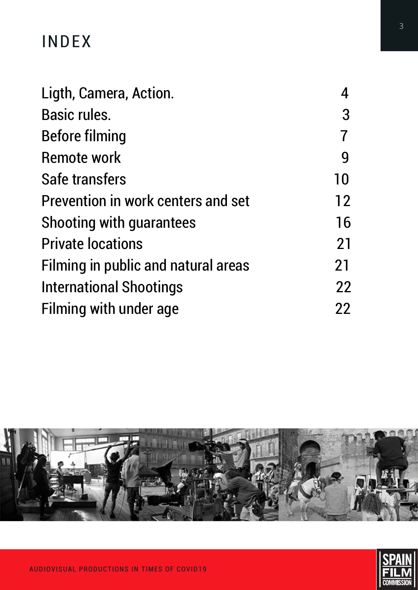# INDEX

| Ligth, Camera, Action.              |    |
|-------------------------------------|----|
| <b>Basic rules.</b>                 | 3  |
| <b>Before filming</b>               |    |
| <b>Remote work</b>                  | 9  |
| Safe transfers                      | 10 |
| Prevention in work centers and set  | 12 |
| <b>Shooting with guarantees</b>     | 16 |
| <b>Private locations</b>            | 21 |
| Filming in public and natural areas | 21 |
| <b>International Shootings</b>      | 22 |
| <b>Filming with under age</b>       | 22 |

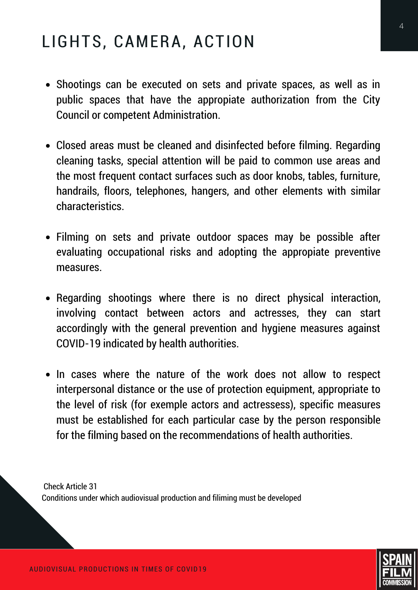# LIGHTS, CAMERA, ACTION

- Shootings can be executed on sets and private spaces, as well as in public spaces that have the appropiate authorization from the City Council or competent Administration.
- Closed areas must be cleaned and disinfected before filming. Regarding cleaning tasks, special attention will be paid to common use areas and the most frequent contact surfaces such as door knobs, tables, furniture, handrails, floors, telephones, hangers, and other elements with similar characteristics.
- Filming on sets and private outdoor spaces may be possible after evaluating occupational risks and adopting the appropiate preventive measures.
- Regarding shootings where there is no direct physical interaction, involving contact between actors and actresses, they can start accordingly with the general prevention and hygiene measures against COVID-19 indicated by health authorities.
- In cases where the nature of the work does not allow to respect interpersonal distance or the use of protection equipment, appropriate to the level of risk (for exemple actors and actressess), specific measures must be established for each particular case by the person responsible for the filming based on the recommendations of health authorities.

Check Article 31 Conditions under which audiovisual production and filiming must be developed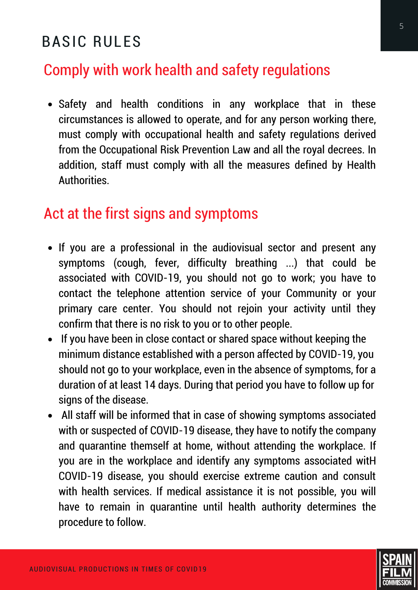# BASIC RULES

### Comply with work health and safety regulations

Safety and health conditions in any workplace that in these circumstances is allowed to operate, and for any person working there, must comply with occupational health and safety regulations derived from the Occupational Risk Prevention Law and all the royal decrees. In addition, staff must comply with all the measures defined by Health **Authorities** 

#### Act at the first signs and symptoms

- If you are a professional in the audiovisual sector and present any symptoms (cough, fever, difficulty breathing ...) that could be associated with COVID-19, you should not go to work; you have to contact the telephone attention service of your Community or your primary care center. You should not rejoin your activity until they confirm that there is no risk to you or to other people.
- If you have been in close contact or shared space without keeping the minimum distance established with a person affected by COVID-19, you should not go to your workplace, even in the absence of symptoms, for a duration of at least 14 days. During that period you have to follow up for signs of the disease.
- All staff will be informed that in case of showing symptoms associated with or suspected of COVID-19 disease, they have to notify the company and quarantine themself at home, without attending the workplace. If you are in the workplace and identify any symptoms associated witH COVID-19 disease, you should exercise extreme caution and consult with health services. If medical assistance it is not possible, you will have to remain in quarantine until health authority determines the procedure to follow.

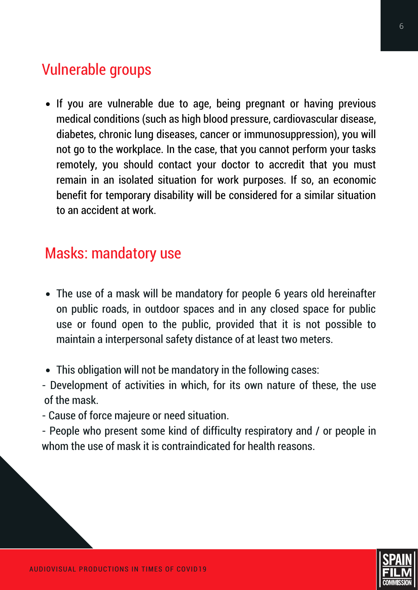### Vulnerable groups

• If you are vulnerable due to age, being pregnant or having previous medical conditions (such as high blood pressure, cardiovascular disease, diabetes, chronic lung diseases, cancer or immunosuppression), you will not go to the workplace. In the case, that you cannot perform your tasks remotely, you should contact your doctor to accredit that you must remain in an isolated situation for work purposes. If so, an economic benefit for temporary disability will be considered for a similar situation to an accident at work.

#### Masks: mandatory use

- The use of a mask will be mandatory for people 6 years old hereinafter on public roads, in outdoor spaces and in any closed space for public use or found open to the public, provided that it is not possible to maintain a interpersonal safety distance of at least two meters.
- This obligation will not be mandatory in the following cases:
- Development of activities in which, for its own nature of these, the use of the mask.
- Cause of force majeure or need situation.
- People who present some kind of difficulty respiratory and / or people in whom the use of mask it is contraindicated for health reasons.

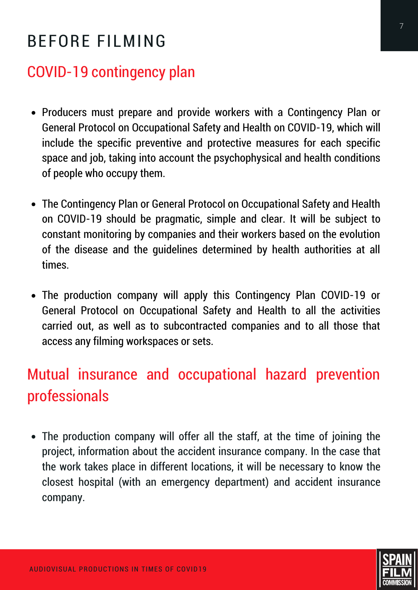# BEFORE FILMING

### COVID-19 contingency plan

- Producers must prepare and provide workers with a Contingency Plan or General Protocol on Occupational Safety and Health on COVID-19, which will include the specific preventive and protective measures for each specific space and job, taking into account the psychophysical and health conditions of people who occupy them.
- The Contingency Plan or General Protocol on Occupational Safety and Health on COVID-19 should be pragmatic, simple and clear. It will be subject to constant monitoring by companies and their workers based on the evolution of the disease and the guidelines determined by health authorities at all times.
- The production company will apply this Contingency Plan COVID-19 or General Protocol on Occupational Safety and Health to all the activities carried out, as well as to subcontracted companies and to all those that access any filming workspaces or sets.

# Mutual insurance and occupational hazard prevention professionals

The production company will offer all the staff, at the time of joining the project, information about the accident insurance company. In the case that the work takes place in different locations, it will be necessary to know the closest hospital (with an emergency department) and accident insurance company.

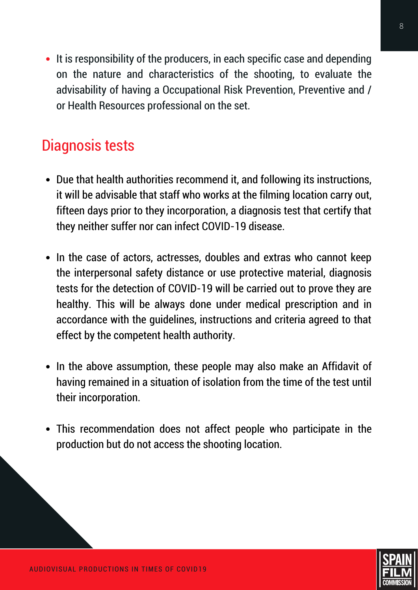• It is responsibility of the producers, in each specific case and depending on the nature and characteristics of the shooting, to evaluate the advisability of having a Occupational Risk Prevention, Preventive and / or Health Resources professional on the set.

### Diagnosis tests

- Due that health authorities recommend it, and following its instructions, it will be advisable that staff who works at the filming location carry out, fifteen days prior to they incorporation, a diagnosis test that certify that they neither suffer nor can infect COVID-19 disease.
- In the case of actors, actresses, doubles and extras who cannot keep the interpersonal safety distance or use protective material, diagnosis tests for the detection of COVID-19 will be carried out to prove they are healthy. This will be always done under medical prescription and in accordance with the guidelines, instructions and criteria agreed to that effect by the competent health authority.
- In the above assumption, these people may also make an Affidavit of having remained in a situation of isolation from the time of the test until their incorporation.
- This recommendation does not affect people who participate in the production but do not access the shooting location.

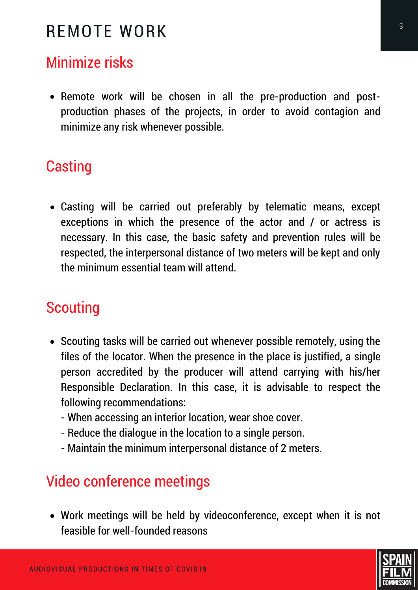# REMOTE WORK

# Minimize risks

• Remote work will be chosen in all the pre-production and postproduction phases of the projects, in order to avoid contagion and minimize any risk whenever possible.

#### **Casting**

Casting will be carried out preferably by telematic means, except exceptions in which the presence of the actor and / or actress is necessary. In this case, the basic safety and prevention rules will be respected, the interpersonal distance of two meters will be kept and only the minimum essential team will attend.

# **Scouting**

- Scouting tasks will be carried out whenever possible remotely, using the files of the locator. When the presence in the place is justified, a single person accredited by the producer will attend carrying with his/her Responsible Declaration. In this case, it is advisable to respect the following recommendations:
	- When accessing an interior location, wear shoe cover.
	- Reduce the dialogue in the location to a single person.
	- Maintain the minimum interpersonal distance of 2 meters.

# Video conference meetings

Work meetings will be held by videoconference, except when it is not feasible for well-founded reasons

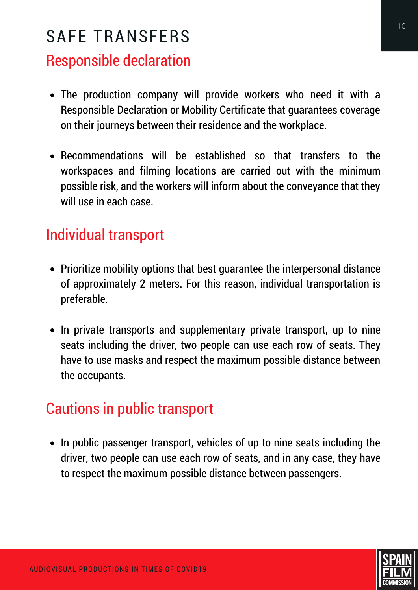# SAFE TRANSFERS

### Responsible declaration

- The production company will provide workers who need it with a Responsible Declaration or Mobility Certificate that guarantees coverage on their journeys between their residence and the workplace.
- Recommendations will be established so that transfers to the workspaces and filming locations are carried out with the minimum possible risk, and the workers will inform about the conveyance that they will use in each case.

### Individual transport

- Prioritize mobility options that best quarantee the interpersonal distance of approximately 2 meters. For this reason, individual transportation is preferable.
- In private transports and supplementary private transport, up to nine seats including the driver, two people can use each row of seats. They have to use masks and respect the maximum possible distance between the occupants.

# Cautions in public transport

• In public passenger transport, vehicles of up to nine seats including the driver, two people can use each row of seats, and in any case, they have to respect the maximum possible distance between passengers.

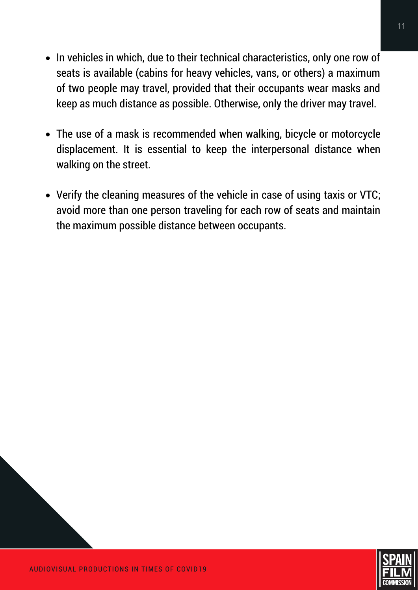- In vehicles in which, due to their technical characteristics, only one row of seats is available (cabins for heavy vehicles, vans, or others) a maximum of two people may travel, provided that their occupants wear masks and keep as much distance as possible. Otherwise, only the driver may travel.
- The use of a mask is recommended when walking, bicycle or motorcycle displacement. It is essential to keep the interpersonal distance when walking on the street.
- Verify the cleaning measures of the vehicle in case of using taxis or VTC; avoid more than one person traveling for each row of seats and maintain the maximum possible distance between occupants.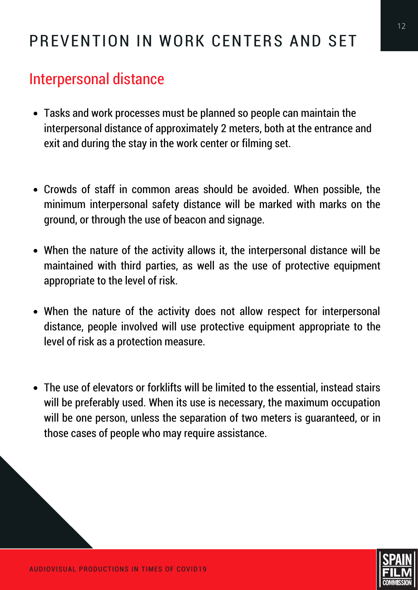# PREVENTION IN WORK CENTERS AND SET

### Interpersonal distance

- Tasks and work processes must be planned so people can maintain the interpersonal distance of approximately 2 meters, both at the entrance and exit and during the stay in the work center or filming set.
- Crowds of staff in common areas should be avoided. When possible, the minimum interpersonal safety distance will be marked with marks on the ground, or through the use of beacon and signage.
- When the nature of the activity allows it, the interpersonal distance will be maintained with third parties, as well as the use of protective equipment appropriate to the level of risk.
- When the nature of the activity does not allow respect for interpersonal distance, people involved will use protective equipment appropriate to the level of risk as a protection measure.
- The use of elevators or forklifts will be limited to the essential, instead stairs will be preferably used. When its use is necessary, the maximum occupation will be one person, unless the separation of two meters is guaranteed, or in those cases of people who may require assistance.

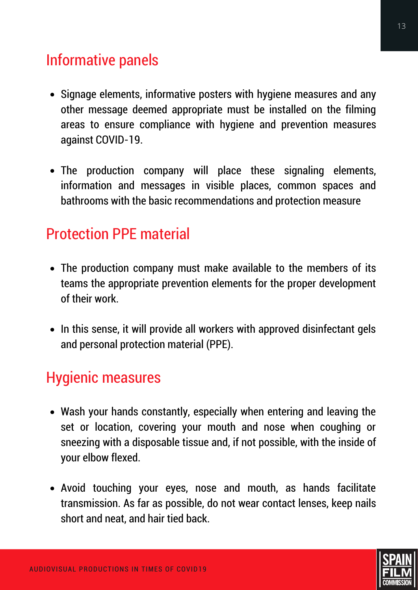# Informative panels

- Signage elements, informative posters with hygiene measures and any other message deemed appropriate must be installed on the filming areas to ensure compliance with hygiene and prevention measures against COVID-19.
- The production company will place these signaling elements, information and messages in visible places, common spaces and bathrooms with the basic recommendations and protection measure

#### Protection PPE material

- The production company must make available to the members of its teams the appropriate prevention elements for the proper development of their work.
- In this sense, it will provide all workers with approved disinfectant gels and personal protection material (PPE).

#### Hygienic measures

- Wash your hands constantly, especially when entering and leaving the set or location, covering your mouth and nose when coughing or sneezing with a disposable tissue and, if not possible, with the inside of your elbow flexed.
- Avoid touching your eyes, nose and mouth, as hands facilitate transmission. As far as possible, do not wear contact lenses, keep nails short and neat, and hair tied back.

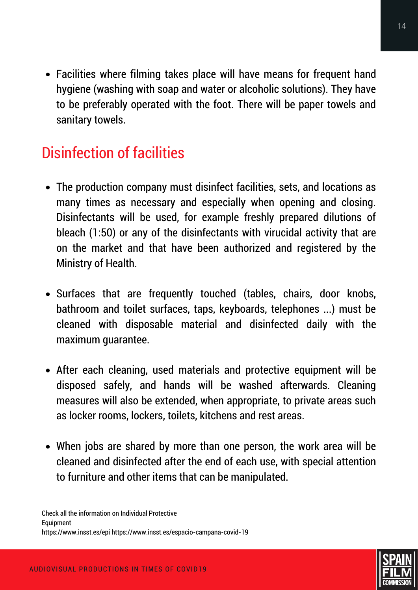Facilities where filming takes place will have means for frequent hand hygiene (washing with soap and water or alcoholic solutions). They have to be preferably operated with the foot. There will be paper towels and sanitary towels.

# Disinfection of facilities

- The production company must disinfect facilities, sets, and locations as many times as necessary and especially when opening and closing. Disinfectants will be used, for example freshly prepared dilutions of bleach (1:50) or any of the disinfectants with virucidal activity that are on the market and that have been authorized and registered by the Ministry of Health.
- Surfaces that are frequently touched (tables, chairs, door knobs, bathroom and toilet surfaces, taps, keyboards, telephones ...) must be cleaned with disposable material and disinfected daily with the maximum guarantee.
- After each cleaning, used materials and protective equipment will be disposed safely, and hands will be washed afterwards. Cleaning measures will also be extended, when appropriate, to private areas such as locker rooms, lockers, toilets, kitchens and rest areas.
- When jobs are shared by more than one person, the work area will be cleaned and disinfected after the end of each use, with special attention to furniture and other items that can be manipulated.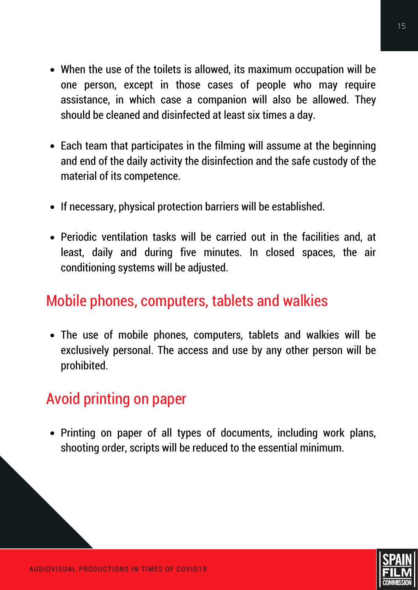- When the use of the toilets is allowed, its maximum occupation will be one person, except in those cases of people who may require assistance, in which case a companion will also be allowed. They should be cleaned and disinfected at least six times a day.
- Each team that participates in the filming will assume at the beginning and end of the daily activity the disinfection and the safe custody of the material of its competence.
- If necessary, physical protection barriers will be established.
- Periodic ventilation tasks will be carried out in the facilities and, at least, daily and during five minutes. In closed spaces, the air conditioning systems will be adjusted.

### Mobile phones, computers, tablets and walkies

The use of mobile phones, computers, tablets and walkies will be exclusively personal. The access and use by any other person will be prohibited.

### Avoid printing on paper

• Printing on paper of all types of documents, including work plans, shooting order, scripts will be reduced to the essential minimum.

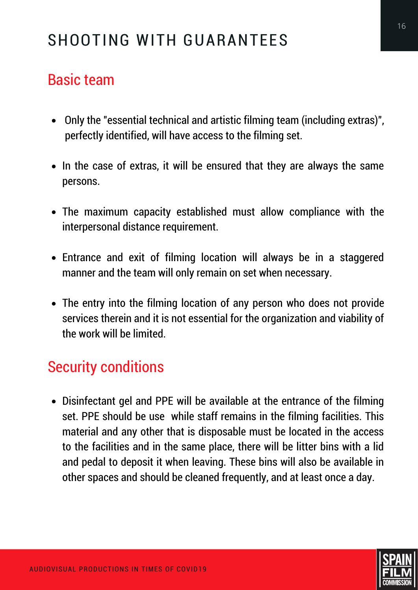# SHOOTING WITH GUARANTEES

#### Basic team

- Only the "essential technical and artistic filming team (including extras)", perfectly identified, will have access to the filming set.
- In the case of extras, it will be ensured that they are always the same persons.
- The maximum capacity established must allow compliance with the interpersonal distance requirement.
- Entrance and exit of filming location will always be in a staggered manner and the team will only remain on set when necessary.
- The entry into the filming location of any person who does not provide services therein and it is not essential for the organization and viability of the work will be limited.

### Security conditions

Disinfectant gel and PPE will be available at the entrance of the filming set. PPE should be use while staff remains in the filming facilities. This material and any other that is disposable must be located in the access to the facilities and in the same place, there will be litter bins with a lid and pedal to deposit it when leaving. These bins will also be available in other spaces and should be cleaned frequently, and at least once a day.

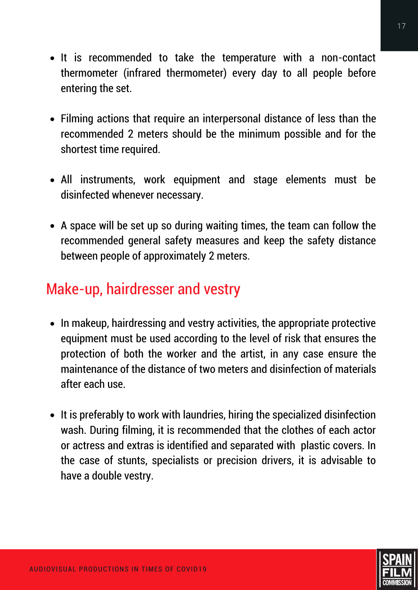- It is recommended to take the temperature with a non-contact thermometer (infrared thermometer) every day to all people before entering the set.
- Filming actions that require an interpersonal distance of less than the recommended 2 meters should be the minimum possible and for the shortest time required.
- All instruments, work equipment and stage elements must be disinfected whenever necessary.
- A space will be set up so during waiting times, the team can follow the recommended general safety measures and keep the safety distance between people of approximately 2 meters.

### Make-up, hairdresser and vestry

- In makeup, hairdressing and vestry activities, the appropriate protective equipment must be used according to the level of risk that ensures the protection of both the worker and the artist, in any case ensure the maintenance of the distance of two meters and disinfection of materials after each use.
- It is preferably to work with laundries, hiring the specialized disinfection wash. During filming, it is recommended that the clothes of each actor or actress and extras is identified and separated with plastic covers. In the case of stunts, specialists or precision drivers, it is advisable to have a double vestry.

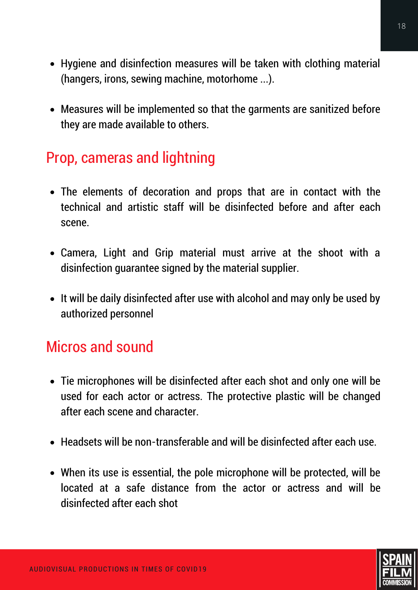- Hygiene and disinfection measures will be taken with clothing material (hangers, irons, sewing machine, motorhome ...).
- Measures will be implemented so that the garments are sanitized before they are made available to others.

#### Prop, cameras and lightning

- The elements of decoration and props that are in contact with the technical and artistic staff will be disinfected before and after each scene.
- Camera, Light and Grip material must arrive at the shoot with a disinfection guarantee signed by the material supplier.
- It will be daily disinfected after use with alcohol and may only be used by authorized personnel

### Micros and sound

- Tie microphones will be disinfected after each shot and only one will be used for each actor or actress. The protective plastic will be changed after each scene and character.
- Headsets will be non-transferable and will be disinfected after each use.
- When its use is essential, the pole microphone will be protected, will be located at a safe distance from the actor or actress and will be disinfected after each shot

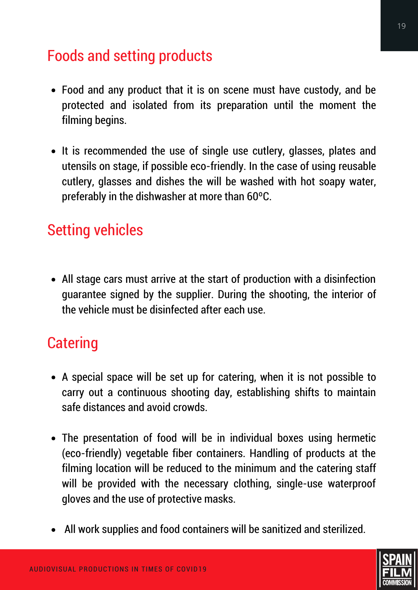### Foods and setting products

- Food and any product that it is on scene must have custody, and be protected and isolated from its preparation until the moment the filming begins.
- It is recommended the use of single use cutlery, glasses, plates and utensils on stage, if possible eco-friendly. In the case of using reusable cutlery, glasses and dishes the will be washed with hot soapy water, preferably in the dishwasher at more than 60ºC.

### Setting vehicles

All stage cars must arrive at the start of production with a disinfection guarantee signed by the supplier. During the shooting, the interior of the vehicle must be disinfected after each use.

### **Catering**

- A special space will be set up for catering, when it is not possible to carry out a continuous shooting day, establishing shifts to maintain safe distances and avoid crowds.
- The presentation of food will be in individual boxes using hermetic (eco-friendly) vegetable fiber containers. Handling of products at the filming location will be reduced to the minimum and the catering staff will be provided with the necessary clothing, single-use waterproof gloves and the use of protective masks.
- All work supplies and food containers will be sanitized and sterilized.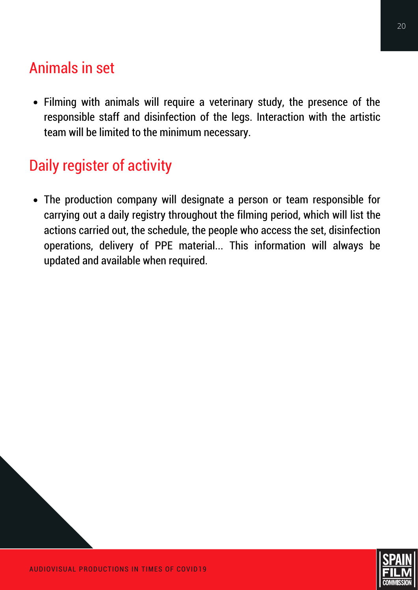### Animals in set

Filming with animals will require a veterinary study, the presence of the responsible staff and disinfection of the legs. Interaction with the artistic team will be limited to the minimum necessary.

# Daily register of activity

The production company will designate a person or team responsible for carrying out a daily registry throughout the filming period, which will list the actions carried out, the schedule, the people who access the set, disinfection operations, delivery of PPE material... This information will always be updated and available when required.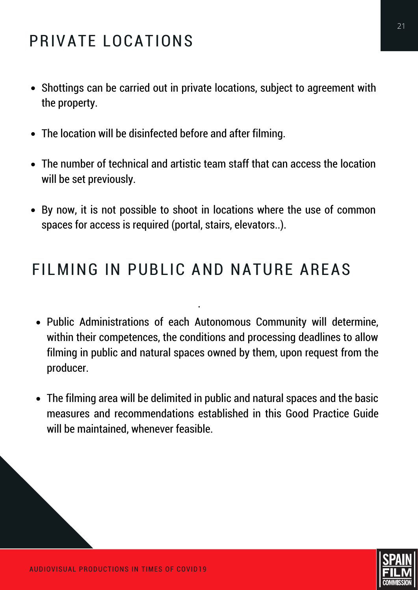# PRIVATE LOCATIONS

- Shottings can be carried out in private locations, subject to agreement with the property.
- The location will be disinfected before and after filming.
- The number of technical and artistic team staff that can access the location will be set previously.
- By now, it is not possible to shoot in locations where the use of common spaces for access is required (portal, stairs, elevators..).

### FILMING IN PUBLIC AND NATURE AREAS

·

- Public Administrations of each Autonomous Community will determine, within their competences, the conditions and processing deadlines to allow filming in public and natural spaces owned by them, upon request from the producer.
- The filming area will be delimited in public and natural spaces and the basic measures and recommendations established in this Good Practice Guide will be maintained, whenever feasible.

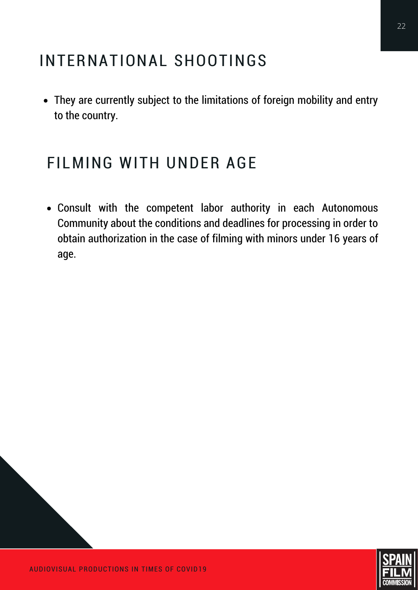# INTERNATIONAL SHOOTINGS

They are currently subject to the limitations of foreign mobility and entry to the country.

# FILMING WITH UNDER AGE

Consult with the competent labor authority in each Autonomous Community about the conditions and deadlines for processing in order to obtain authorization in the case of filming with minors under 16 years of age.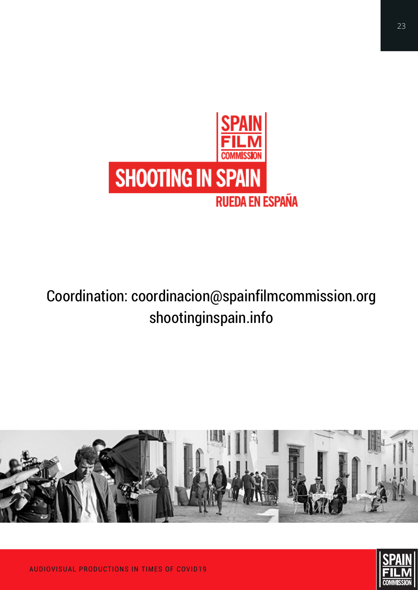

# Coordination: coordinacion@spainfilmcommission.org shootinginspain.info